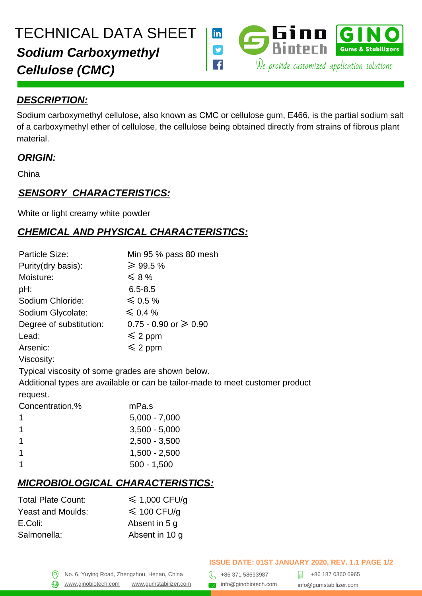

#### *DESCRIPTION:*

[Sodium carboxymethyl cellulose,](https://gumstabilizer.com/products/cmc) also known as CMC or cellulose gum, E466, is the partial sodium salt of a carboxymethyl ether of cellulose, the cellulose being obtained directly from strains of fibrous plant material.

#### *ORIGIN:*

China

## *SENSORY CHARACTERISTICS:*

White or light creamy white powder

# *CHEMICAL AND PHYSICAL CHARACTERISTICS:*

| Particle Size:                                                                | Min 95 $%$ pass 80 mesh           |  |
|-------------------------------------------------------------------------------|-----------------------------------|--|
| Purity(dry basis):                                                            | $\geq 99.5\%$                     |  |
| Moisture:                                                                     | $\leqslant$ 8 %                   |  |
| pH:                                                                           | $6.5 - 8.5$                       |  |
| Sodium Chloride:                                                              | $\leqslant$ 0.5%                  |  |
| Sodium Glycolate:                                                             | $\leqslant$ 0.4 %                 |  |
| Degree of substitution:                                                       | $0.75 - 0.90$ or $\geqslant 0.90$ |  |
| Lead:                                                                         | $\leqslant$ 2 ppm                 |  |
| Arsenic:                                                                      | $\leqslant$ 2 ppm                 |  |
| Viscosity:                                                                    |                                   |  |
| Typical viscosity of some grades are shown below.                             |                                   |  |
| Additional types are available or can be tailor-made to meet customer product |                                   |  |
| request.                                                                      |                                   |  |
| Concentration,%                                                               | mPa.s                             |  |
| 1                                                                             | $5,000 - 7,000$                   |  |
| 1                                                                             | $3,500 - 5,000$                   |  |
| 1                                                                             | $2,500 - 3,500$                   |  |
| 1                                                                             | $1,500 - 2,500$                   |  |
| 1                                                                             | $500 - 1,500$                     |  |
|                                                                               |                                   |  |

## *MICROBIOLOGICAL CHARACTERISTICS:*

| <b>Total Plate Count:</b> | $\leq 1,000$ CFU/g |
|---------------------------|--------------------|
| <b>Yeast and Moulds:</b>  | $\leq 100$ CFU/q   |
| E.Coli:                   | Absent in 5 q      |
| Salmonella:               | Absent in 10 q     |

[www.ginobiotech.com](http://www.ginobiotech.com/) [www.gumstabilizer.com](http://www.ginobiotech.com/) same info@ginobiotech.com info@gumstabilizer.com

+86 187 0360 6965